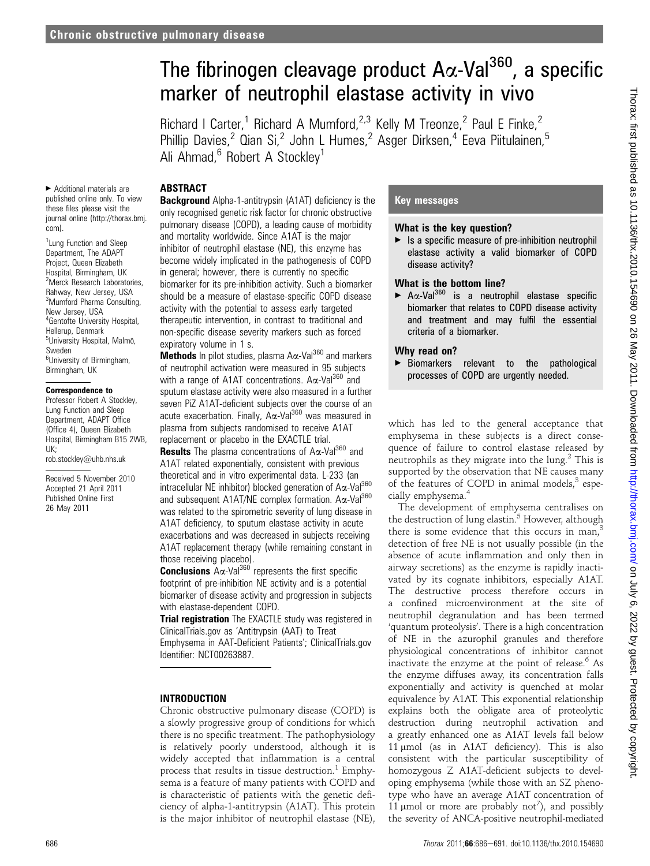# The fibrinogen cleavage product  $A\alpha$ -Val<sup>360</sup>, a specific marker of neutrophil elastase activity in vivo

Richard I Carter,<sup>1</sup> Richard A Mumford,<sup>2,3</sup> Kelly M Treonze,<sup>2</sup> Paul E Finke,<sup>2</sup> Phillip Davies,<sup>2</sup> Qian Si,<sup>2</sup> John L Humes,<sup>2</sup> Asger Dirksen,<sup>4</sup> Eeva Piitulainen,<sup>5</sup> Ali Ahmad, $6$  Robert A Stockley<sup>1</sup>

#### **ABSTRACT**

< Additional materials are published online only. To view these files please visit the journal online (http://thorax.bmj. com).

<sup>1</sup> Lung Function and Sleep Department, The ADAPT Project, Queen Elizabeth Hospital, Birmingham, UK 2 Merck Research Laboratories, Rahway, New Jersey, USA 3 Mumford Pharma Consulting, New Jersey, USA 4 Gentofte University Hospital, Hellerup, Denmark <sup>5</sup>University Hospital, Malmö, Sweden <sup>6</sup>University of Birmingham, Birmingham, UK

#### Correspondence to

Professor Robert A Stockley, Lung Function and Sleep Department, ADAPT Office (Office 4), Queen Elizabeth Hospital, Birmingham B15 2WB, UK;

rob.stockley@uhb.nhs.uk

Received 5 November 2010 Accepted 21 April 2011 Published Online First 26 May 2011

**Background** Alpha-1-antitrypsin (A1AT) deficiency is the only recognised genetic risk factor for chronic obstructive pulmonary disease (COPD), a leading cause of morbidity and mortality worldwide. Since A1AT is the major inhibitor of neutrophil elastase (NE), this enzyme has become widely implicated in the pathogenesis of COPD in general; however, there is currently no specific biomarker for its pre-inhibition activity. Such a biomarker should be a measure of elastase-specific COPD disease activity with the potential to assess early targeted therapeutic intervention, in contrast to traditional and non-specific disease severity markers such as forced expiratory volume in 1 s.

Methods In pilot studies, plasma Ax-Val<sup>360</sup> and markers of neutrophil activation were measured in 95 subjects with a range of A1AT concentrations.  $A\alpha$ -Val<sup>360</sup> and sputum elastase activity were also measured in a further seven PiZ A1AT-deficient subjects over the course of an acute exacerbation. Finally, A $\alpha$ -Val<sup>360</sup> was measured in plasma from subjects randomised to receive A1AT replacement or placebo in the EXACTLE trial.

**Results** The plasma concentrations of  $A\alpha$ -Val<sup>360</sup> and A1AT related exponentially, consistent with previous theoretical and in vitro experimental data. L-233 (an intracellular NE inhibitor) blocked generation of  $A\alpha$ -Val $^{360}$ and subsequent A1AT/NE complex formation.  $A\alpha$ -Val<sup>360</sup> was related to the spirometric severity of lung disease in A1AT deficiency, to sputum elastase activity in acute exacerbations and was decreased in subjects receiving A1AT replacement therapy (while remaining constant in those receiving placebo).

**Conclusions**  $\overline{A} \alpha$ -Val<sup>360</sup> represents the first specific footprint of pre-inhibition NE activity and is a potential biomarker of disease activity and progression in subjects with elastase-dependent COPD.

Trial registration The EXACTLE study was registered in ClinicalTrials.gov as 'Antitrypsin (AAT) to Treat Emphysema in AAT-Deficient Patients'; ClinicalTrials.gov Identifier: NCT00263887.

# INTRODUCTION

Chronic obstructive pulmonary disease (COPD) is a slowly progressive group of conditions for which there is no specific treatment. The pathophysiology is relatively poorly understood, although it is widely accepted that inflammation is a central process that results in tissue destruction.<sup>1</sup> Emphysema is a feature of many patients with COPD and is characteristic of patients with the genetic deficiency of alpha-1-antitrypsin (A1AT). This protein is the major inhibitor of neutrophil elastase (NE),

## Key messages

#### What is the key question?

 $\blacktriangleright$  Is a specific measure of pre-inhibition neutrophil elastase activity a valid biomarker of COPD disease activity?

## What is the bottom line?

 $\blacktriangleright$  A $\alpha$ -Val<sup>360</sup> is a neutrophil elastase specific biomarker that relates to COPD disease activity and treatment and may fulfil the essential criteria of a biomarker.

# Why read on?

< Biomarkers relevant to the pathological processes of COPD are urgently needed.

which has led to the general acceptance that emphysema in these subjects is a direct consequence of failure to control elastase released by neutrophils as they migrate into the  $\text{lung.}^2$  This is supported by the observation that NE causes many of the features of COPD in animal models, $3$  especially emphysema.<sup>4</sup>

The development of emphysema centralises on the destruction of lung elastin.<sup>5</sup> However, although there is some evidence that this occurs in man, $3$ detection of free NE is not usually possible (in the absence of acute inflammation and only then in airway secretions) as the enzyme is rapidly inactivated by its cognate inhibitors, especially A1AT. The destructive process therefore occurs in a confined microenvironment at the site of neutrophil degranulation and has been termed 'quantum proteolysis'. There is a high concentration of NE in the azurophil granules and therefore physiological concentrations of inhibitor cannot inactivate the enzyme at the point of release.<sup>6</sup> As the enzyme diffuses away, its concentration falls exponentially and activity is quenched at molar equivalence by A1AT. This exponential relationship explains both the obligate area of proteolytic destruction during neutrophil activation and a greatly enhanced one as A1AT levels fall below 11  $\mu$ mol (as in A1AT deficiency). This is also consistent with the particular susceptibility of homozygous Z A1AT-deficient subjects to developing emphysema (while those with an SZ phenotype who have an average A1AT concentration of 11  $\mu$ mol or more are probably not<sup>7</sup>), and possibly the severity of ANCA-positive neutrophil-mediated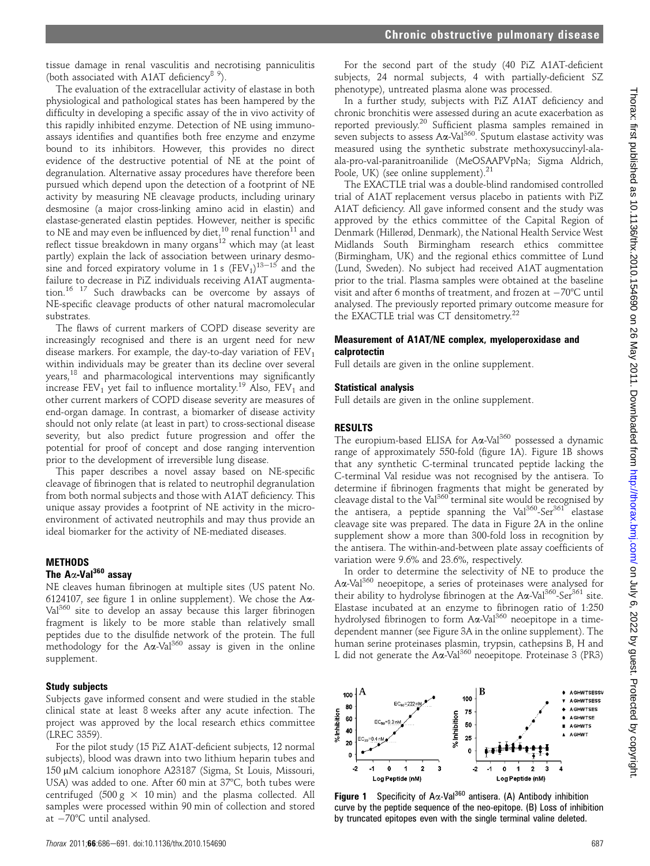For the second part of the study (40 PiZ A1AT-deficient subjects, 24 normal subjects, 4 with partially-deficient SZ phenotype), untreated plasma alone was processed.

In a further study, subjects with PiZ A1AT deficiency and chronic bronchitis were assessed during an acute exacerbation as reported previously.<sup>20</sup> Sufficient plasma samples remained in seven subjects to assess  $A\alpha$ -Val<sup>360</sup>. Sputum elastase activity was measured using the synthetic substrate methoxysuccinyl-alaala-pro-val-paranitroanilide (MeOSAAPVpNa; Sigma Aldrich, Poole, UK) (see online supplement).<sup>21</sup> The EXACTLE trial was a double-blind randomised controlled

trial of A1AT replacement versus placebo in patients with PiZ A1AT deficiency. All gave informed consent and the study was approved by the ethics committee of the Capital Region of Denmark (Hillerød, Denmark), the National Health Service West Midlands South Birmingham research ethics committee (Birmingham, UK) and the regional ethics committee of Lund (Lund, Sweden). No subject had received A1AT augmentation prior to the trial. Plasma samples were obtained at the baseline visit and after 6 months of treatment, and frozen at  $-70^{\circ}$ C until analysed. The previously reported primary outcome measure for the EXACTLE trial was CT densitometry.<sup>22</sup>

#### Measurement of A1AT/NE complex, myeloperoxidase and calprotectin

Full details are given in the online supplement.

#### Statistical analysis

Full details are given in the online supplement.

#### RESULTS

The europium-based ELISA for  $A\alpha$ -Val<sup>360</sup> possessed a dynamic range of approximately 550-fold (figure 1A). Figure 1B shows that any synthetic C-terminal truncated peptide lacking the C-terminal Val residue was not recognised by the antisera. To determine if fibrinogen fragments that might be generated by cleavage distal to the Val<sup>360</sup> terminal site would be recognised by the antisera, a peptide spanning the Val<sup>360</sup>-Ser<sup>361</sup> elastase cleavage site was prepared. The data in Figure 2A in the online supplement show a more than 300-fold loss in recognition by the antisera. The within-and-between plate assay coefficients of variation were 9.6% and 23.6%, respectively.

In order to determine the selectivity of NE to produce the Aa-Val<sup>360</sup> neoepitope, a series of proteinases were analysed for their ability to hydrolyse fibrinogen at the  $A\alpha$ -Val<sup>360</sup>-Ser<sup>361</sup> site. Elastase incubated at an enzyme to fibrinogen ratio of 1:250 hydrolysed fibrinogen to form Aa-Val<sup>360</sup> neoepitope in a timedependent manner (see Figure 3A in the online supplement). The human serine proteinases plasmin, trypsin, cathepsins B, H and L did not generate the Aa-Val<sup>360</sup> neoepitope. Proteinase 3 (PR3)

Study subjects

supplement.

METHODS

The  $A\alpha$ -Val<sup>360</sup> assav

substrates.

Subjects gave informed consent and were studied in the stable clinical state at least 8 weeks after any acute infection. The project was approved by the local research ethics committee (LREC 3359).

NE cleaves human fibrinogen at multiple sites (US patent No. 6124107, see figure 1 in online supplement). We chose the  $A\alpha$ -Val<sup>360</sup> site to develop an assay because this larger fibrinogen fragment is likely to be more stable than relatively small peptides due to the disulfide network of the protein. The full methodology for the  $A\alpha$ -Val<sup>360</sup> assay is given in the online

tissue damage in renal vasculitis and necrotising panniculitis

The evaluation of the extracellular activity of elastase in both physiological and pathological states has been hampered by the difficulty in developing a specific assay of the in vivo activity of this rapidly inhibited enzyme. Detection of NE using immunoassays identifies and quantifies both free enzyme and enzyme bound to its inhibitors. However, this provides no direct evidence of the destructive potential of NE at the point of degranulation. Alternative assay procedures have therefore been pursued which depend upon the detection of a footprint of NE activity by measuring NE cleavage products, including urinary desmosine (a major cross-linking amino acid in elastin) and elastase-generated elastin peptides. However, neither is specific to NE and may even be influenced by diet,  $^{10}$  renal function<sup>11</sup> and reflect tissue breakdown in many organs<sup>12</sup> which may (at least partly) explain the lack of association between urinary desmosine and forced expiratory volume in 1 s  $(FEV_1)^{13-15}$  and the failure to decrease in PiZ individuals receiving A1AT augmentation.<sup>16 17</sup> Such drawbacks can be overcome by assays of NE-specific cleavage products of other natural macromolecular

The flaws of current markers of COPD disease severity are increasingly recognised and there is an urgent need for new disease markers. For example, the day-to-day variation of  $FEV<sub>1</sub>$ within individuals may be greater than its decline over several years,<sup>18</sup> and pharmacological interventions may significantly increase  $FEV<sub>1</sub>$  yet fail to influence mortality.<sup>19</sup> Also,  $FEV<sub>1</sub>$  and other current markers of COPD disease severity are measures of end-organ damage. In contrast, a biomarker of disease activity should not only relate (at least in part) to cross-sectional disease severity, but also predict future progression and offer the potential for proof of concept and dose ranging intervention

This paper describes a novel assay based on NE-specific cleavage of fibrinogen that is related to neutrophil degranulation from both normal subjects and those with A1AT deficiency. This unique assay provides a footprint of NE activity in the microenvironment of activated neutrophils and may thus provide an ideal biomarker for the activity of NE-mediated diseases.

prior to the development of irreversible lung disease.

(both associated with A1AT deficiency<sup>8 9</sup>).

For the pilot study (15 PiZ A1AT-deficient subjects, 12 normal subjects), blood was drawn into two lithium heparin tubes and 150 μM calcium ionophore A23187 (Sigma, St Louis, Missouri, USA) was added to one. After 60 min at 37°C, both tubes were centrifuged (500 g  $\times$  10 min) and the plasma collected. All samples were processed within 90 min of collection and stored at  $-70^{\circ}$ C until analysed.

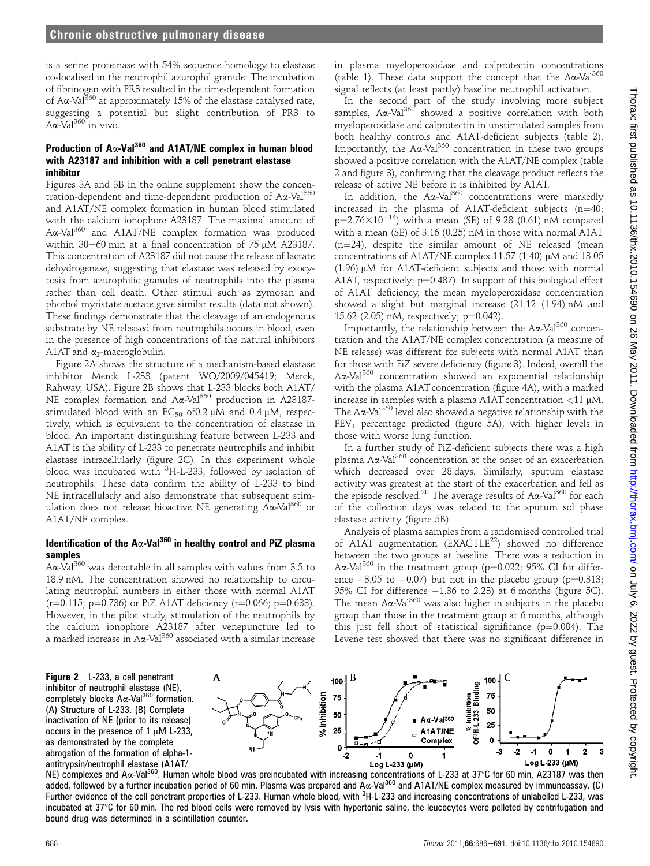is a serine proteinase with 54% sequence homology to elastase co-localised in the neutrophil azurophil granule. The incubation of fibrinogen with PR3 resulted in the time-dependent formation of A $\alpha$ -Val<sup>360</sup> at approximately 15% of the elastase catalysed rate, suggesting a potential but slight contribution of PR3 to  $A\alpha$ -Val<sup>360</sup> in vivo.

## Production of A $\alpha$ -Val<sup>360</sup> and A1AT/NE complex in human blood with A23187 and inhibition with a cell penetrant elastase inhibitor

Figures 3A and 3B in the online supplement show the concentration-dependent and time-dependent production of Aa-Val<sup>360</sup> and A1AT/NE complex formation in human blood stimulated with the calcium ionophore A23187. The maximal amount of Ax-Val<sup>360</sup> and A1AT/NE complex formation was produced within 30-60 min at a final concentration of 75  $\mu$ M A23187. This concentration of A23187 did not cause the release of lactate dehydrogenase, suggesting that elastase was released by exocytosis from azurophilic granules of neutrophils into the plasma rather than cell death. Other stimuli such as zymosan and phorbol myristate acetate gave similar results (data not shown). These findings demonstrate that the cleavage of an endogenous substrate by NE released from neutrophils occurs in blood, even in the presence of high concentrations of the natural inhibitors A1AT and  $\alpha_2$ -macroglobulin.

Figure 2A shows the structure of a mechanism-based elastase inhibitor Merck L-233 (patent WO/2009/045419; Merck, Rahway, USA). Figure 2B shows that L-233 blocks both A1AT/ NE complex formation and A $\alpha$ -Val<sup>360</sup> production in A23187stimulated blood with an  $EC_{50}$  of 0.2  $\mu$ M and 0.4  $\mu$ M, respectively, which is equivalent to the concentration of elastase in blood. An important distinguishing feature between L-233 and A1AT is the ability of L-233 to penetrate neutrophils and inhibit elastase intracellularly (figure 2C). In this experiment whole blood was incubated with <sup>3</sup>H-L-233, followed by isolation of neutrophils. These data confirm the ability of L-233 to bind NE intracellularly and also demonstrate that subsequent stimulation does not release bioactive NE generating Aa-Val<sup>360</sup> or A1AT/NE complex.

## Identification of the  $A\alpha$ -Val<sup>360</sup> in healthy control and PiZ plasma samples

 $A\alpha$ -Val<sup>360</sup> was detectable in all samples with values from 3.5 to 18.9 nM. The concentration showed no relationship to circulating neutrophil numbers in either those with normal A1AT  $(r=0.115; p=0.736)$  or PiZ A1AT deficiency  $(r=0.066; p=0.688)$ . However, in the pilot study, stimulation of the neutrophils by the calcium ionophore A23187 after venepuncture led to a marked increase in A $\alpha$ -Val<sup>360</sup> associated with a similar increase in plasma myeloperoxidase and calprotectin concentrations (table 1). These data support the concept that the  $A\alpha$ -Val<sup>360</sup> signal reflects (at least partly) baseline neutrophil activation.

In the second part of the study involving more subject samples. Aa-Val<sup>360</sup> showed a positive correlation with both myeloperoxidase and calprotectin in unstimulated samples from both healthy controls and A1AT-deficient subjects (table 2). Importantly, the  $A\alpha$ -Val<sup>360</sup> concentration in these two groups showed a positive correlation with the A1AT/NE complex (table 2 and figure 3), confirming that the cleavage product reflects the release of active NE before it is inhibited by A1AT.

In addition, the  $A\alpha$ -Val<sup>360</sup> concentrations were markedly increased in the plasma of A1AT-deficient subjects (n=40;  $p=2.76\times10^{-14}$ ) with a mean (SE) of 9.28 (0.61) nM compared with a mean (SE) of 3.16 (0.25) nM in those with normal A1AT  $(n=24)$ , despite the similar amount of NE released (mean concentrations of A1AT/NE complex 11.57 (1.40)  $\mu$ M and 13.05  $(1.96)$  µM for A1AT-deficient subjects and those with normal A1AT, respectively;  $p=0.487$ ). In support of this biological effect of A1AT deficiency, the mean myeloperoxidase concentration showed a slight but marginal increase (21.12 (1.94) nM and 15.62 (2.05) nM, respectively;  $p=0.042$ ).

Importantly, the relationship between the  $A\alpha$ -Val<sup>360</sup> concentration and the A1AT/NE complex concentration (a measure of NE release) was different for subjects with normal A1AT than for those with PiZ severe deficiency (figure 3). Indeed, overall the Aa-Val<sup>360</sup> concentration showed an exponential relationship with the plasma A1AT concentration (figure 4A), with a marked increase in samples with a plasma A1AT concentration  $\langle 11 \mu M$ . The A $\alpha$ -Val<sup>360</sup> level also showed a negative relationship with the  $FEV<sub>1</sub>$  percentage predicted (figure 5A), with higher levels in those with worse lung function.

In a further study of PiZ-deficient subjects there was a high plasma  $A\alpha$ -Val<sup>360</sup> concentration at the onset of an exacerbation which decreased over 28 days. Similarly, sputum elastase activity was greatest at the start of the exacerbation and fell as the episode resolved.<sup>20</sup> The average results of  $A\alpha$ -Val<sup>360</sup> for each of the collection days was related to the sputum sol phase elastase activity (figure 5B).

Analysis of plasma samples from a randomised controlled trial of A1AT augmentation (EXACTLE<sup>22</sup>) showed no difference between the two groups at baseline. There was a reduction in A $\alpha$ -Val<sup>360</sup> in the treatment group (p=0.022; 95% CI for difference  $-3.05$  to  $-0.07$ ) but not in the placebo group (p=0.313; 95% CI for difference  $-1.36$  to 2.23) at 6 months (figure 5C). The mean  $A\alpha$ -Val<sup>360</sup> was also higher in subjects in the placebo group than those in the treatment group at 6 months, although this just fell short of statistical significance ( $p=0.084$ ). The Levene test showed that there was no significant difference in

Figure 2 L-233, a cell penetrant inhibitor of neutrophil elastase (NE), completely blocks  $A\alpha$ -Val<sup>360</sup> formation. (A) Structure of L-233. (B) Complete inactivation of NE (prior to its release) occurs in the presence of 1  $\mu$ M L-233, as demonstrated by the complete abrogation of the formation of alpha-1 antitrypsin/neutrophil elastase (A1AT/



ntitrypsin/neutrophil elastase (A1AT/<br>NE) complexes and Aα-Val<sup>360</sup>. Human whole blood was preincubated with increasing concentrations of L-233 at 37°C for 60 min, A23187 was then added, followed by a further incubation period of 60 min. Plasma was prepared and  $A\alpha$ -Val<sup>360</sup> and A1AT/NE complex measured by immunoassay. (C) Further evidence of the cell penetrant properties of L-233. Human whole blood, with <sup>3</sup>H-L-233 and increasing concentrations of unlabelled L-233, was incubated at  $37^{\circ}$ C for 60 min. The red blood cells were removed by lysis with hypertonic saline, the leucocytes were pelleted by centrifugation and bound drug was determined in a scintillation counter.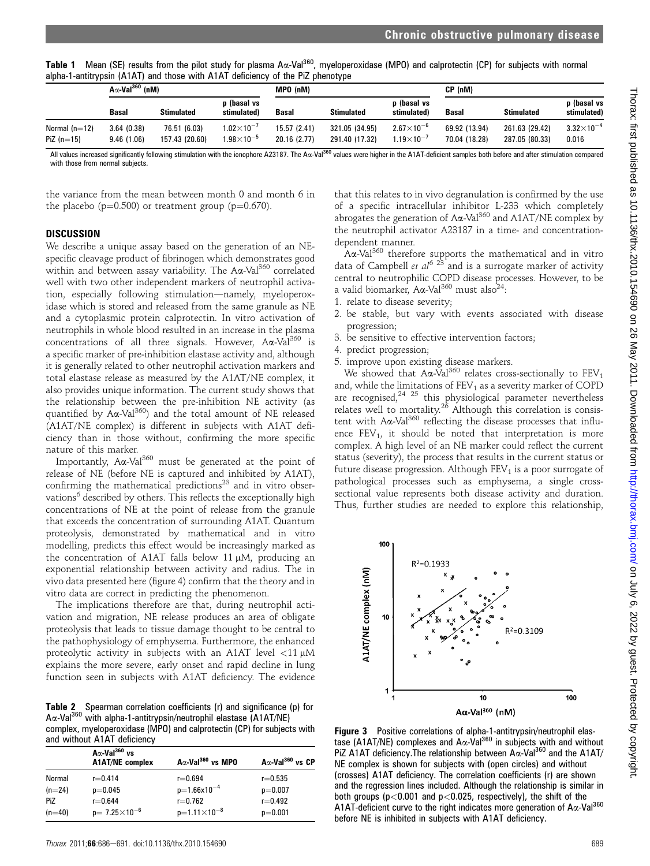Table 1 Mean (SE) results from the pilot study for plasma A $\alpha$ -Val<sup>360</sup>, myeloperoxidase (MPO) and calprotectin (CP) for subjects with normal alpha-1-antitrypsin (A1AT) and those with A1AT deficiency of the PiZ phenotype

|                                 | $A\alpha$ -Val <sup>360</sup> (nM) |                                |                                                 | MPO (nM)                     |                                  |                                            | CP (nM)                        |                                  |                              |
|---------------------------------|------------------------------------|--------------------------------|-------------------------------------------------|------------------------------|----------------------------------|--------------------------------------------|--------------------------------|----------------------------------|------------------------------|
|                                 | Basal                              | <b>Stimulated</b>              | p (basal vs<br>stimulated)                      | <b>Basal</b>                 | <b>Stimulated</b>                | p (basal vs<br>stimulated)                 | <b>Basal</b>                   | <b>Stimulated</b>                | p (basal vs<br>stimulated)   |
| Normal $(n=12)$<br>PiZ $(n=15)$ | 3.64(0.38)<br>9.46(1.06)           | 76.51 (6.03)<br>157.43 (20.60) | 1.02 $\times$ 10 $^{-7}$<br>$1.98\times10^{-5}$ | 15.57 (2.41)<br>20.16 (2.77) | 321.05 (34.95)<br>291.40 (17.32) | $2.67\times10^{-6}$<br>$1.19\times10^{-7}$ | 69.92 (13.94)<br>70.04 (18.28) | 261.63 (29.42)<br>287.05 (80.33) | $3.32\times10^{-4}$<br>0.016 |

All values increased significantly following stimulation with the ionophore A23187. The Aa-Val<sup>360</sup> values were higher in the A1AT-deficient samples both before and after stimulation compared with those from normal subjects.

the variance from the mean between month 0 and month 6 in the placebo ( $p=0.500$ ) or treatment group ( $p=0.670$ ).

#### **DISCUSSION**

We describe a unique assay based on the generation of an NEspecific cleavage product of fibrinogen which demonstrates good within and between assay variability. The  $A\alpha$ -Val<sup>360</sup> correlated well with two other independent markers of neutrophil activation, especially following stimulation-namely, myeloperoxidase which is stored and released from the same granule as NE and a cytoplasmic protein calprotectin. In vitro activation of neutrophils in whole blood resulted in an increase in the plasma concentrations of all three signals. However,  $A\alpha$ -Val<sup>360</sup> is a specific marker of pre-inhibition elastase activity and, although it is generally related to other neutrophil activation markers and total elastase release as measured by the A1AT/NE complex, it also provides unique information. The current study shows that the relationship between the pre-inhibition NE activity (as quantified by  $A\alpha$ -Val<sup>360</sup>) and the total amount of NE released (A1AT/NE complex) is different in subjects with A1AT deficiency than in those without, confirming the more specific nature of this marker.

Importantly,  $A\alpha$ -Val<sup>360</sup> must be generated at the point of release of NE (before NE is captured and inhibited by A1AT), confirming the mathematical predictions $23$  and in vitro observations<sup>6</sup> described by others. This reflects the exceptionally high concentrations of NE at the point of release from the granule that exceeds the concentration of surrounding A1AT. Quantum proteolysis, demonstrated by mathematical and in vitro modelling, predicts this effect would be increasingly marked as the concentration of A1AT falls below 11  $\mu$ M, producing an exponential relationship between activity and radius. The in vivo data presented here (figure 4) confirm that the theory and in vitro data are correct in predicting the phenomenon.

The implications therefore are that, during neutrophil activation and migration, NE release produces an area of obligate proteolysis that leads to tissue damage thought to be central to the pathophysiology of emphysema. Furthermore, the enhanced proteolytic activity in subjects with an A1AT level  $\langle 11 \mu M$ explains the more severe, early onset and rapid decline in lung function seen in subjects with A1AT deficiency. The evidence

Table 2 Spearman correlation coefficients (r) and significance (p) for Aa-Val<sup>360</sup> with alpha-1-antitrypsin/neutrophil elastase (A1AT/NE) complex, myeloperoxidase (MPO) and calprotectin (CP) for subjects with and without A1AT deficiency

| and velocided ATAT actionately |                                                            |                                      |                                     |  |  |  |  |
|--------------------------------|------------------------------------------------------------|--------------------------------------|-------------------------------------|--|--|--|--|
|                                | $A\alpha$ -Val <sup>360</sup> vs<br><b>A1AT/NE</b> complex | $A\alpha$ -Val <sup>360</sup> vs MPO | $A\alpha$ -Val <sup>360</sup> vs CP |  |  |  |  |
| Normal                         | $r = 0.414$                                                | $r = 0.694$                          | $r = 0.535$                         |  |  |  |  |
| $(n=24)$                       | $p=0.045$                                                  | $p=1.66x10^{-4}$                     | $p=0.007$                           |  |  |  |  |
| PiZ                            | $r = 0.644$                                                | $r = 0.762$                          | $r = 0.492$                         |  |  |  |  |
| $(n=40)$                       | $p=7.25\times10^{-6}$                                      | $p=1.11\times10^{-8}$                | $p=0.001$                           |  |  |  |  |

that this relates to in vivo degranulation is confirmed by the use of a specific intracellular inhibitor L-233 which completely abrogates the generation of  $A\alpha$ -Val<sup>360</sup> and A1AT/NE complex by the neutrophil activator A23187 in a time- and concentrationdependent manner.

 $A\alpha$ -Val $^{360}$  therefore supports the mathematical and in vitro data of Campbell et  $al^{6}$  <sup>23</sup> and is a surrogate marker of activity central to neutrophilic COPD disease processes. However, to be a valid biomarker,  $A\alpha$ -Val<sup>360</sup> must also<sup>24</sup>:

- 1. relate to disease severity;
- 2. be stable, but vary with events associated with disease progression;
- 3. be sensitive to effective intervention factors;
- 4. predict progression;
- 5. improve upon existing disease markers.

We showed that  $A\alpha$ -Val<sup>360</sup> relates cross-sectionally to FEV<sub>1</sub> and, while the limitations of  $FEV<sub>1</sub>$  as a severity marker of COPD are recognised,<sup>24 25</sup> this physiological parameter nevertheless relates well to mortality.<sup>26</sup> Although this correlation is consistent with  $A\alpha$ -Val<sup>360</sup> reflecting the disease processes that influence  $FEV<sub>1</sub>$ , it should be noted that interpretation is more complex. A high level of an NE marker could reflect the current status (severity), the process that results in the current status or future disease progression. Although  $FEV<sub>1</sub>$  is a poor surrogate of pathological processes such as emphysema, a single crosssectional value represents both disease activity and duration. Thus, further studies are needed to explore this relationship,



Figure 3 Positive correlations of alpha-1-antitrypsin/neutrophil elastase (A1AT/NE) complexes and  $A\alpha$ -Val<sup>360</sup> in subjects with and without PiZ A1AT deficiency. The relationship between  $A\alpha$ -Val<sup>360</sup> and the A1AT/ NE complex is shown for subjects with (open circles) and without (crosses) A1AT deficiency. The correlation coefficients (r) are shown and the regression lines included. Although the relationship is similar in both groups ( $p<0.001$  and  $p<0.025$ , respectively), the shift of the A1AT-deficient curve to the right indicates more generation of A $\alpha$ -Val<sup>360</sup> before NE is inhibited in subjects with A1AT deficiency.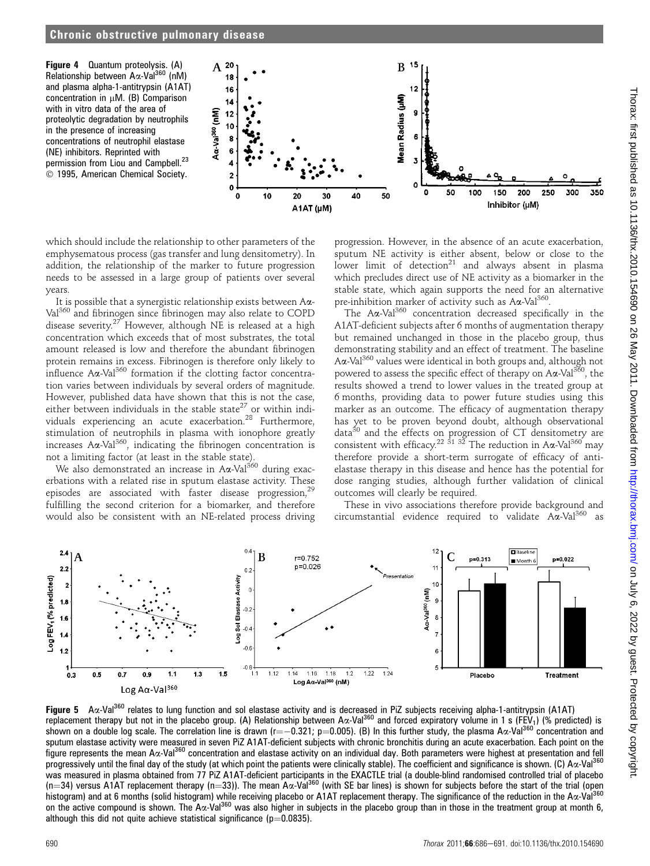Figure 4 Quantum proteolysis. (A) Relationship between Aα-Val<sup>360</sup> (nM) and plasma alpha-1-antitrypsin (A1AT) concentration in  $\mu$ M. (B) Comparison with in vitro data of the area of proteolytic degradation by neutrophils in the presence of increasing concentrations of neutrophil elastase (NE) inhibitors. Reprinted with permission from Liou and Campbell.<sup>23</sup>  $©$  1995, American Chemical Society.



which should include the relationship to other parameters of the emphysematous process (gas transfer and lung densitometry). In addition, the relationship of the marker to future progression needs to be assessed in a large group of patients over several years.

It is possible that a synergistic relationship exists between Aa-Val <sup>360</sup> and fibrinogen since fibrinogen may also relate to COPD disease severity.<sup>27</sup> However, although NE is released at a high concentration which exceeds that of most substrates, the total amount released is low and therefore the abundant fibrinogen protein remains in excess. Fibrinogen is therefore only likely to influence  $A\alpha$ -Val<sup>360</sup> formation if the clotting factor concentration varies between individuals by several orders of magnitude. However, published data have shown that this is not the case, either between individuals in the stable state<sup>27</sup> or within individuals experiencing an acute exacerbation.28 Furthermore, stimulation of neutrophils in plasma with ionophore greatly increases A $\alpha$ -Val<sup>360</sup>, indicating the fibrinogen concentration is not a limiting factor (at least in the stable state).

We also demonstrated an increase in  $A\alpha$ -Val<sup>360</sup> during exacerbations with a related rise in sputum elastase activity. These episodes are associated with faster disease progression,<sup>29</sup> fulfilling the second criterion for a biomarker, and therefore would also be consistent with an NE-related process driving

progression. However, in the absence of an acute exacerbation, sputum NE activity is either absent, below or close to the lower limit of detection<sup>21</sup> and always absent in plasma which precludes direct use of NE activity as a biomarker in the stable state, which again supports the need for an alternative pre-inhibition marker of activity such as  $A\alpha$ -Val<sup>360</sup>.

The Aa-Val<sup>360</sup> concentration decreased specifically in the A1AT-deficient subjects after 6 months of augmentation therapy but remained unchanged in those in the placebo group, thus demonstrating stability and an effect of treatment. The baseline Aa-Val<sup>360</sup> values were identical in both groups and, although not powered to assess the specific effect of therapy on  $A\alpha$ -Val<sup>360</sup>, the results showed a trend to lower values in the treated group at 6 months, providing data to power future studies using this marker as an outcome. The efficacy of augmentation therapy has yet to be proven beyond doubt, although observational data $30$  and the effects on progression of CT densitometry are consistent with efficacy.<sup>22 31 32</sup> The reduction in A $\alpha$ -Val<sup>360</sup> may therefore provide a short-term surrogate of efficacy of antielastase therapy in this disease and hence has the potential for dose ranging studies, although further validation of clinical outcomes will clearly be required.

These in vivo associations therefore provide background and circumstantial evidence required to validate  $A\alpha$ -Val<sup>360</sup> as



Figure 5 A $\alpha$ -Val<sup>360</sup> relates to lung function and sol elastase activity and is decreased in PiZ subjects receiving alpha-1-antitrypsin (A1AT) replacement therapy but not in the placebo group. (A) Relationship between A $\alpha$ -Val<sup>360</sup> and forced expiratory volume in 1 s (FEV<sub>1</sub>) (% predicted) is shown on a double log scale. The correlation line is drawn (r= $-0.321$ ; p=0.005). (B) In this further study, the plasma A $\alpha$ -Val<sup>360</sup> concentration and sputum elastase activity were measured in seven PiZ A1AT-deficient subjects with chronic bronchitis during an acute exacerbation. Each point on the figure represents the mean A $\alpha$ -Val<sup>360</sup> concentration and elastase activity on an individual day. Both parameters were highest at presentation and fell progressively until the final day of the study (at which point the patients were clinically stable). The coefficient and significance is shown. (C)  $Ax$ -Val<sup>360</sup> was measured in plasma obtained from 77 PiZ A1AT-deficient participants in the EXACTLE trial (a double-blind randomised controlled trial of placebo (n=34) versus A1AT replacement therapy (n=33)). The mean A $\alpha$ -Val<sup>360</sup> (with SE bar lines) is shown for subjects before the start of the trial (open histogram) and at 6 months (solid histogram) while receiving placebo or A1AT replacement therapy. The significance of the reduction in the Aa-Val<sup>360</sup> on the active compound is shown. The A $\alpha$ -Val<sup>360</sup> was also higher in subjects in the placebo group than in those in the treatment group at month 6, although this did not quite achieve statistical significance ( $p=0.0835$ ).